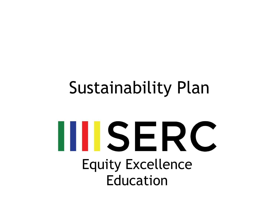#### Sustainability Plan

# IIISERC Equity Excellence Education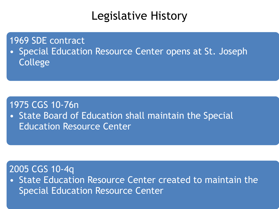#### Legislative History

1969 SDE contract

• Special Education Resource Center opens at St. Joseph College

#### 1975 CGS 10-76n

• State Board of Education shall maintain the Special Education Resource Center

#### 2005 CGS 10-4q

• State Education Resource Center created to maintain the Special Education Resource Center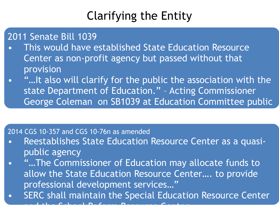#### Clarifying the Entity

2011 Senate Bill 1039

- This would have established State Education Resource Center as non-profit agency but passed without that provision
- "…It also will clarify for the public the association with the state Department of Education." – Acting Commissioner George Coleman on SB1039 at Education Committee public

#### 2014 CGS 10-357 and CGS 10-76n as amended

- Reestablishes State Education Resource Center as a quasipublic agency
- "...The Commissioner of Education may allocate funds to allow the State Education Resource Center…. to provide professional development services…"
- SERC shall maintain the Special Education Resource Center and the School Reform Resource Center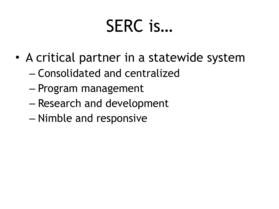### SERC is…

- A critical partner in a statewide system
	- Consolidated and centralized
	- Program management
	- Research and development
	- Nimble and responsive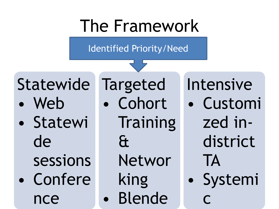#### The Framework

**Identified Priority/Need** 

Statewide

- Web
- Statewi de sessions
- Confere nce

**Targeted** Cohort Training  $\mathbf{\hat{a}}$ Networ king **Blende** 

Intensive

- Customi zed indistrict **TA**
- · Systemi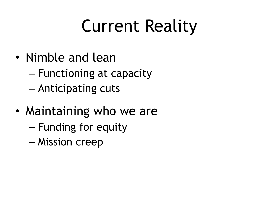## Current Reality

- Nimble and lean
	- Functioning at capacity
	- Anticipating cuts
- Maintaining who we are
	- Funding for equity
	- Mission creep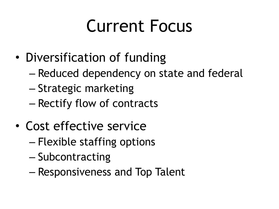### Current Focus

- Diversification of funding
	- Reduced dependency on state and federal
	- Strategic marketing
	- Rectify flow of contracts
- Cost effective service
	- Flexible staffing options
	- Subcontracting
	- Responsiveness and Top Talent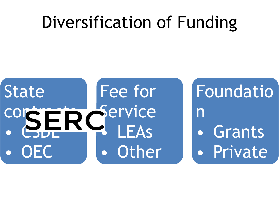#### Diversification of Funding

#### Fee for **State** Service LEAs Other OEC

Foundatio  $\mathsf{\Pi}$ Grants · Private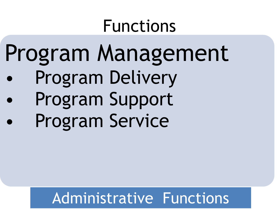#### Functions

# Program Management

- Program Delivery
- Program Support Program Service

#### Administrative Functions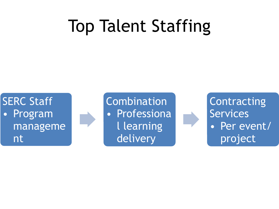### Top Talent Staffing

**SERC Staff** • Program manageme nt

• Event

**Combination Professiona** l learning delivery

• Content

**Contracting** Services • Per event/ project

service